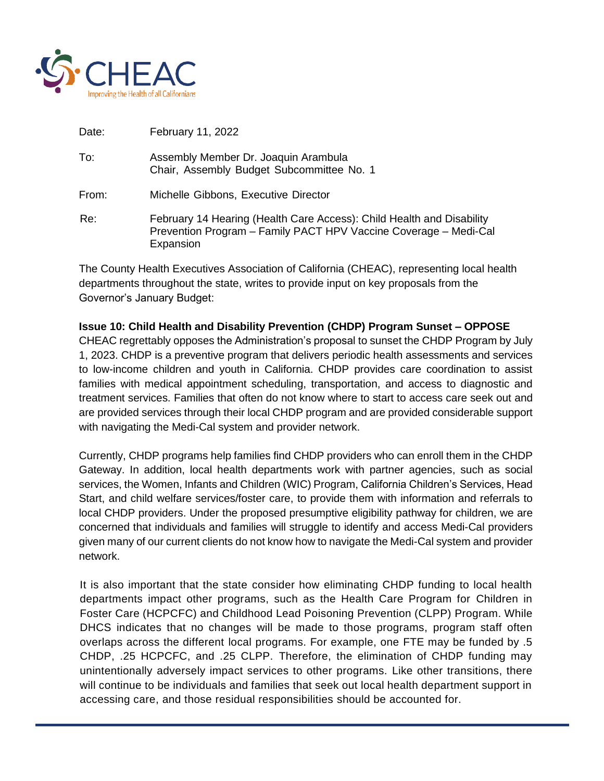

| Date: | February 11, 2022                                                                                                                                      |
|-------|--------------------------------------------------------------------------------------------------------------------------------------------------------|
| To:   | Assembly Member Dr. Joaquin Arambula<br>Chair, Assembly Budget Subcommittee No. 1                                                                      |
| From: | Michelle Gibbons, Executive Director                                                                                                                   |
| Re:   | February 14 Hearing (Health Care Access): Child Health and Disability<br>Prevention Program - Family PACT HPV Vaccine Coverage - Medi-Cal<br>Expansion |

The County Health Executives Association of California (CHEAC), representing local health departments throughout the state, writes to provide input on key proposals from the Governor's January Budget:

## **Issue 10: Child Health and Disability Prevention (CHDP) Program Sunset – OPPOSE**

CHEAC regrettably opposes the Administration's proposal to sunset the CHDP Program by July 1, 2023. CHDP is a preventive program that delivers periodic health assessments and services to low-income children and youth in California. CHDP provides care coordination to assist families with medical appointment scheduling, transportation, and access to diagnostic and treatment services. Families that often do not know where to start to access care seek out and are provided services through their local CHDP program and are provided considerable support with navigating the Medi-Cal system and provider network.

Currently, CHDP programs help families find CHDP providers who can enroll them in the CHDP Gateway. In addition, local health departments work with partner agencies, such as social services, the Women, Infants and Children (WIC) Program, California Children's Services, Head Start, and child welfare services/foster care, to provide them with information and referrals to local CHDP providers. Under the proposed presumptive eligibility pathway for children, we are concerned that individuals and families will struggle to identify and access Medi-Cal providers given many of our current clients do not know how to navigate the Medi-Cal system and provider network.

It is also important that the state consider how eliminating CHDP funding to local health departments impact other programs, such as the Health Care Program for Children in Foster Care (HCPCFC) and Childhood Lead Poisoning Prevention (CLPP) Program. While DHCS indicates that no changes will be made to those programs, program staff often overlaps across the different local programs. For example, one FTE may be funded by .5 CHDP, .25 HCPCFC, and .25 CLPP. Therefore, the elimination of CHDP funding may unintentionally adversely impact services to other programs. Like other transitions, there will continue to be individuals and families that seek out local health department support in accessing care, and those residual responsibilities should be accounted for.